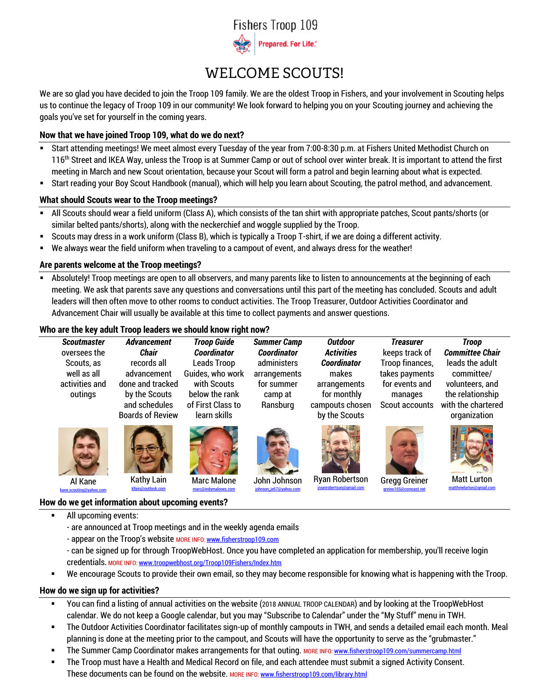

# WELCOME SCOUTS!

We are so glad you have decided to join the Troop 109 family. We are the oldest Troop in Fishers, and your involvement in Scouting helps us to continue the legacy of Troop 109 in our community! We look forward to helping you on your Scouting journey and achieving the goals you've set for yourself in the coming years.

## **Now that we have joined Troop 109, what do we do next?**

- Start attending meetings! We meet almost every Tuesday of the year from 7:00-8:30 p.m. at Fishers United Methodist Church on 116<sup>th</sup> Street and IKEA Way, unless the Troop is at Summer Camp or out of school over winter break. It is important to attend the first meeting in March and new Scout orientation, because your Scout will form a patrol and begin learning about what is expected.
- Start reading your Boy Scout Handbook (manual), which will help you learn about Scouting, the patrol method, and advancement.

## **What should Scouts wear to the Troop meetings?**

- All Scouts should wear a field uniform (Class A), which consists of the tan shirt with appropriate patches, Scout pants/shorts (or similar belted pants/shorts), along with the neckerchief and woggle supplied by the Troop.
- Scouts may dress in a work uniform (Class B), which is typically a Troop T-shirt, if we are doing a different activity.
- We always wear the field uniform when traveling to a campout of event, and always dress for the weather!

## **Are parents welcome at the Troop meetings?**

Absolutely! Troop meetings are open to all observers, and many parents like to listen to announcements at the beginning of each meeting. We ask that parents save any questions and conversations until this part of the meeting has concluded. Scouts and adult leaders will then often move to other rooms to conduct activities. The Troop Treasurer, Outdoor Activities Coordinator and Advancement Chair will usually be available at this time to collect payments and answer questions.

## **Who are the key adult Troop leaders we should know right now?**

| <b>Scoutmaster</b>                                     | <b>Advancement</b>                                                                                          | <b>Troop Guide</b>                                                                                    | <b>Summer Camp</b>                                               | <b>Outdoor</b>                                                                                 | <b>Treasurer</b>                                                                 | <b>Troop</b>                                                                                               |
|--------------------------------------------------------|-------------------------------------------------------------------------------------------------------------|-------------------------------------------------------------------------------------------------------|------------------------------------------------------------------|------------------------------------------------------------------------------------------------|----------------------------------------------------------------------------------|------------------------------------------------------------------------------------------------------------|
| oversees the                                           | <b>Chair</b>                                                                                                | <b>Coordinator</b>                                                                                    | <b>Coordinator</b>                                               | <b>Activities</b>                                                                              | keeps track of                                                                   | <b>Committee Chair</b>                                                                                     |
| Scouts, as<br>well as all<br>activities and<br>outings | records all<br>advancement<br>done and tracked<br>by the Scouts<br>and schedules<br><b>Boards of Review</b> | Leads Troop<br>Guides, who work<br>with Scouts<br>below the rank<br>of First Class to<br>learn skills | administers<br>arrangements<br>for summer<br>camp at<br>Ransburg | <b>Coordinator</b><br>makes<br>arrangements<br>for monthly<br>campouts chosen<br>by the Scouts | Troop finances,<br>takes payments<br>for events and<br>manages<br>Scout accounts | leads the adult<br>committee/<br>volunteers, and<br>the relationship<br>with the chartered<br>organization |
| Al Kane                                                | <b>Kathy Lain</b>                                                                                           | <b>Marc Malone</b>                                                                                    | John Johnson                                                     | <b>Ryan Robertson</b>                                                                          | <b>Gregg Greiner</b>                                                             | <b>Matt Lurton</b>                                                                                         |
| kane.scouting@vahoo.com                                | kllain@outlook.com                                                                                          | marc@indymalones.com                                                                                  | johnson je67@vahoo.com                                           | jryanrobertson@gmail.com                                                                       | greino165@comcast.net                                                            | matthewlurton@gmail.com                                                                                    |

## **How do we get information about upcoming events?**

- All upcoming events:
	- are announced at Troop meetings and in the weekly agenda emails
	- appear on the Troop's website MORE INFO: [www.fisherstroop109.com](http://www.fisherstroop109.com/)
	- can be signed up for through TroopWebHost. Once you have completed an application for membership, you'll receive login credentials. MORE INFO: [www.troopwebhost.org/Troop109Fishers/Index.htm](http://www.troopwebhost.org/Troop109Fishers/Index.htm)
- We encourage Scouts to provide their own email, so they may become responsible for knowing what is happening with the Troop.

# **How do we sign up for activities?**

- You can find a listing of annual activities on the website (2018 ANNUAL TROOP CALENDAR) and by looking at the TroopWebHost calendar. We do not keep a Google calendar, but you may "Subscribe to Calendar" under the "My Stuff" menu in TWH.
- The Outdoor Activities Coordinator facilitates sign-up of monthly campouts in TWH, and sends a detailed email each month. Meal planning is done at the meeting prior to the campout, and Scouts will have the opportunity to serve as the "grubmaster."
- **The Summer Camp Coordinator makes arrangements for that outing. MORE INFO: [www.fisherstroop109.com/summercamp.html](http://www.fisherstroop109.com/summercamp.html)**
- The Troop must have a Health and Medical Record on file, and each attendee must submit a signed Activity Consent. These documents can be found on the website. MORE INFO: [www.fisherstroop109.com/library.html](http://www.fisherstroop109.com/library.html)